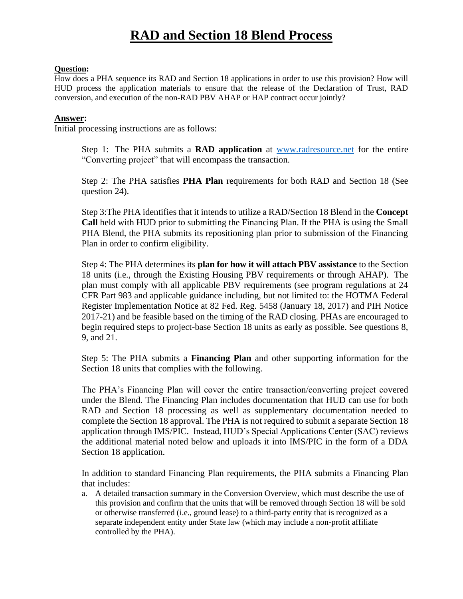#### **Question:**

How does a PHA sequence its RAD and Section 18 applications in order to use this provision? How will HUD process the application materials to ensure that the release of the Declaration of Trust, RAD conversion, and execution of the non-RAD PBV AHAP or HAP contract occur jointly?

#### **Answer:**

Initial processing instructions are as follows:

Step 1: The PHA submits a **RAD application** at [www.radresource.net](https://url.emailprotection.link/?bElSkP_XLfp7u-PbgMd36GX8Qx_6maHB9QV2ffDgIZLxg57u28DN1KxSecSGCWDxY3KSyDLr9CmzyxcywvQSxYw~~) for the entire "Converting project" that will encompass the transaction.

Step 2: The PHA satisfies **PHA Plan** requirements for both RAD and Section 18 (See question 24).

Step 3:The PHA identifies that it intends to utilize a RAD/Section 18 Blend in the **Concept Call** held with HUD prior to submitting the Financing Plan. If the PHA is using the Small PHA Blend, the PHA submits its repositioning plan prior to submission of the Financing Plan in order to confirm eligibility.

Step 4: The PHA determines its **plan for how it will attach PBV assistance** to the Section 18 units (i.e., through the Existing Housing PBV requirements or through AHAP). The plan must comply with all applicable PBV requirements (see program regulations at 24 CFR Part 983 and applicable guidance including, but not limited to: the HOTMA Federal Register Implementation Notice at 82 Fed. Reg. 5458 (January 18, 2017) and PIH Notice 2017-21) and be feasible based on the timing of the RAD closing. PHAs are encouraged to begin required steps to project-base Section 18 units as early as possible. See questions 8, 9, and 21.

Step 5: The PHA submits a **Financing Plan** and other supporting information for the Section 18 units that complies with the following.

The PHA's Financing Plan will cover the entire transaction/converting project covered under the Blend. The Financing Plan includes documentation that HUD can use for both RAD and Section 18 processing as well as supplementary documentation needed to complete the Section 18 approval. The PHA is not required to submit a separate Section 18 application through IMS/PIC. Instead, HUD's Special Applications Center (SAC) reviews the additional material noted below and uploads it into IMS/PIC in the form of a DDA Section 18 application.

In addition to standard Financing Plan requirements, the PHA submits a Financing Plan that includes:

a. A detailed transaction summary in the Conversion Overview, which must describe the use of this provision and confirm that the units that will be removed through Section 18 will be sold or otherwise transferred (i.e., ground lease) to a third-party entity that is recognized as a separate independent entity under State law (which may include a non-profit affiliate controlled by the PHA).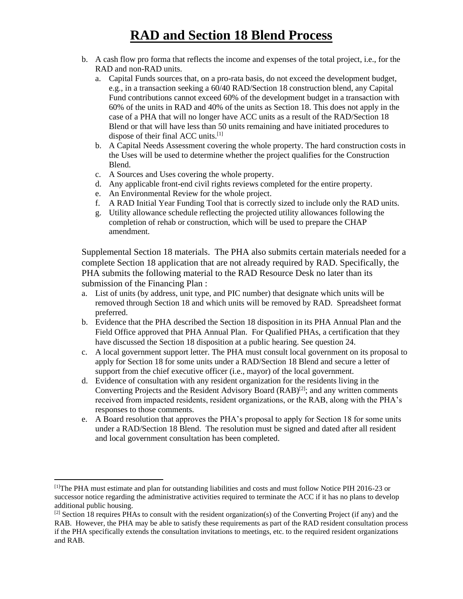- b. A cash flow pro forma that reflects the income and expenses of the total project, i.e., for the RAD and non-RAD units.
	- a. Capital Funds sources that, on a pro-rata basis, do not exceed the development budget, e.g., in a transaction seeking a 60/40 RAD/Section 18 construction blend, any Capital Fund contributions cannot exceed 60% of the development budget in a transaction with 60% of the units in RAD and 40% of the units as Section 18. This does not apply in the case of a PHA that will no longer have ACC units as a result of the RAD/Section 18 Blend or that will have less than 50 units remaining and have initiated procedures to dispose of their final ACC units.[1]
	- b. A Capital Needs Assessment covering the whole property. The hard construction costs in the Uses will be used to determine whether the project qualifies for the Construction Blend.
	- c. A Sources and Uses covering the whole property.
	- d. Any applicable front-end civil rights reviews completed for the entire property.
	- e. An Environmental Review for the whole project.
	- f. A RAD Initial Year Funding Tool that is correctly sized to include only the RAD units.
	- g. Utility allowance schedule reflecting the projected utility allowances following the completion of rehab or construction, which will be used to prepare the CHAP amendment.

Supplemental Section 18 materials. The PHA also submits certain materials needed for a complete Section 18 application that are not already required by RAD. Specifically, the PHA submits the following material to the RAD Resource Desk no later than its submission of the Financing Plan :

- a. List of units (by address, unit type, and PIC number) that designate which units will be removed through Section 18 and which units will be removed by RAD. Spreadsheet format preferred.
- b. Evidence that the PHA described the Section 18 disposition in its PHA Annual Plan and the Field Office approved that PHA Annual Plan. For Qualified PHAs, a certification that they have discussed the Section 18 disposition at a public hearing. See question 24.
- c. A local government support letter. The PHA must consult local government on its proposal to apply for Section 18 for some units under a RAD/Section 18 Blend and secure a letter of support from the chief executive officer (i.e., mayor) of the local government.
- d. Evidence of consultation with any resident organization for the residents living in the Converting Projects and the Resident Advisory Board  $(RAB)^{[2]}$ ; and any written comments received from impacted residents, resident organizations, or the RAB, along with the PHA's responses to those comments.
- e. A Board resolution that approves the PHA's proposal to apply for Section 18 for some units under a RAD/Section 18 Blend. The resolution must be signed and dated after all resident and local government consultation has been completed.

<sup>[1]</sup>The PHA must estimate and plan for outstanding liabilities and costs and must follow Notice PIH 2016-23 or successor notice regarding the administrative activities required to terminate the ACC if it has no plans to develop additional public housing.

 $[2]$  Section 18 requires PHAs to consult with the resident organization(s) of the Converting Project (if any) and the RAB. However, the PHA may be able to satisfy these requirements as part of the RAD resident consultation process if the PHA specifically extends the consultation invitations to meetings, etc. to the required resident organizations and RAB.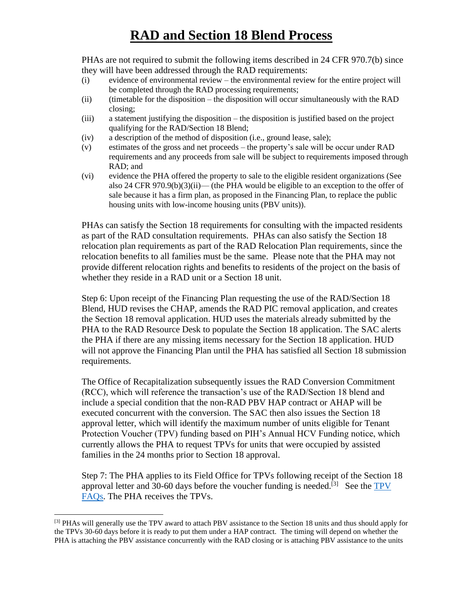PHAs are not required to submit the following items described in 24 CFR 970.7(b) since they will have been addressed through the RAD requirements:

- (i) evidence of environmental review the environmental review for the entire project will be completed through the RAD processing requirements;
- (ii) (timetable for the disposition the disposition will occur simultaneously with the RAD closing;
- (iii) a statement justifying the disposition the disposition is justified based on the project qualifying for the RAD/Section 18 Blend;
- (iv) a description of the method of disposition (i.e., ground lease, sale);
- (v) estimates of the gross and net proceeds the property's sale will be occur under RAD requirements and any proceeds from sale will be subject to requirements imposed through RAD; and
- (vi) evidence the PHA offered the property to sale to the eligible resident organizations (See also 24 CFR 970.9(b)(3)(ii)— (the PHA would be eligible to an exception to the offer of sale because it has a firm plan, as proposed in the Financing Plan, to replace the public housing units with low-income housing units (PBV units)).

PHAs can satisfy the Section 18 requirements for consulting with the impacted residents as part of the RAD consultation requirements. PHAs can also satisfy the Section 18 relocation plan requirements as part of the RAD Relocation Plan requirements, since the relocation benefits to all families must be the same. Please note that the PHA may not provide different relocation rights and benefits to residents of the project on the basis of whether they reside in a RAD unit or a Section 18 unit.

Step 6: Upon receipt of the Financing Plan requesting the use of the RAD/Section 18 Blend, HUD revises the CHAP, amends the RAD PIC removal application, and creates the Section 18 removal application. HUD uses the materials already submitted by the PHA to the RAD Resource Desk to populate the Section 18 application. The SAC alerts the PHA if there are any missing items necessary for the Section 18 application. HUD will not approve the Financing Plan until the PHA has satisfied all Section 18 submission requirements.

The Office of Recapitalization subsequently issues the RAD Conversion Commitment (RCC), which will reference the transaction's use of the RAD/Section 18 blend and include a special condition that the non-RAD PBV HAP contract or AHAP will be executed concurrent with the conversion. The SAC then also issues the Section 18 approval letter, which will identify the maximum number of units eligible for Tenant Protection Voucher (TPV) funding based on PIH's Annual HCV Funding notice, which currently allows the PHA to request TPVs for units that were occupied by assisted families in the 24 months prior to Section 18 approval.

Step 7: The PHA applies to its Field Office for TPVs following receipt of the Section 18 approval letter and 30-60 days before the voucher funding is needed.<sup>[3]</sup> See the  $TPV$ [FAQs.](https://url.emailprotection.link/?bz7HNhSkVC1YsdRONdVIszvtJXVwA4ZFvdyATjpKTbaCjgx_RsJJgXxD_QNVNatXVt0OQKUP0k5m5DLXYsRuCuFB7z_hLtMq3yRr9omm4CZNrd5w4kLBhQfT3ZF6fRbTs6zjVTXROkgbUwLSnO-ReC0KCQzxfTACgLdHqyADmUkE~) The PHA receives the TPVs.

<sup>&</sup>lt;sup>[3]</sup> PHAs will generally use the TPV award to attach PBV assistance to the Section 18 units and thus should apply for the TPVs 30-60 days before it is ready to put them under a HAP contract. The timing will depend on whether the PHA is attaching the PBV assistance concurrently with the RAD closing or is attaching PBV assistance to the units